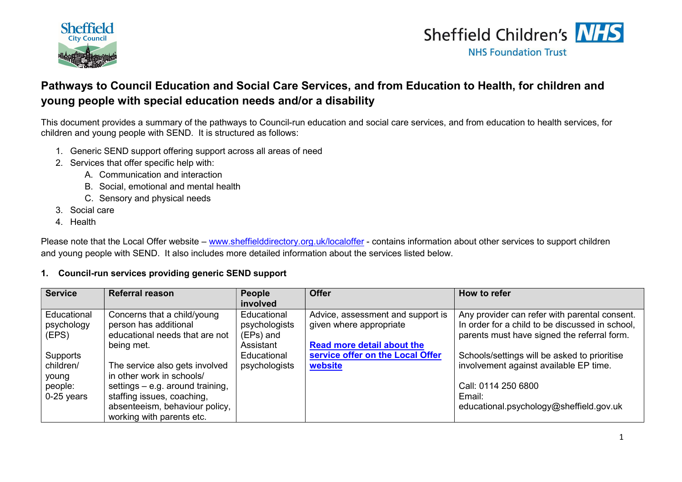



### Pathways to Council Education and Social Care Services, and from Education to Health, for children and young people with special education needs and/or a disability

This document provides a summary of the pathways to Council-run education and social care services, and from education to health services, for children and young people with SEND. It is structured as follows:

- 1. Generic SEND support offering support across all areas of need
- 2. Services that offer specific help with:
	- A. Communication and interaction
	- B. Social, emotional and mental health
	- C. Sensory and physical needs
- 3. Social care
- 4. Health

Please note that the Local Offer website – www.sheffielddirectory.org.uk/localoffer - contains information about other services to support children and young people with SEND. It also includes more detailed information about the services listed below.

#### 1. Council-run services providing generic SEND support

| <b>Service</b> | <b>Referral reason</b>           | <b>People</b> | <b>Offer</b>                      | How to refer                                    |
|----------------|----------------------------------|---------------|-----------------------------------|-------------------------------------------------|
|                |                                  | involved      |                                   |                                                 |
| Educational    | Concerns that a child/young      | Educational   | Advice, assessment and support is | Any provider can refer with parental consent.   |
| psychology     | person has additional            | psychologists | given where appropriate           | In order for a child to be discussed in school, |
| (EPS)          | educational needs that are not   | (EPs) and     |                                   | parents must have signed the referral form.     |
|                | being met.                       | Assistant     | <b>Read more detail about the</b> |                                                 |
| Supports       |                                  | Educational   | service offer on the Local Offer  | Schools/settings will be asked to prioritise    |
| children/      | The service also gets involved   | psychologists | website                           | involvement against available EP time.          |
| young          | in other work in schools/        |               |                                   |                                                 |
| people:        | settings - e.g. around training, |               |                                   | Call: 0114 250 6800                             |
| $0-25$ years   | staffing issues, coaching,       |               |                                   | Email:                                          |
|                | absenteeism, behaviour policy,   |               |                                   | educational.psychology@sheffield.gov.uk         |
|                | working with parents etc.        |               |                                   |                                                 |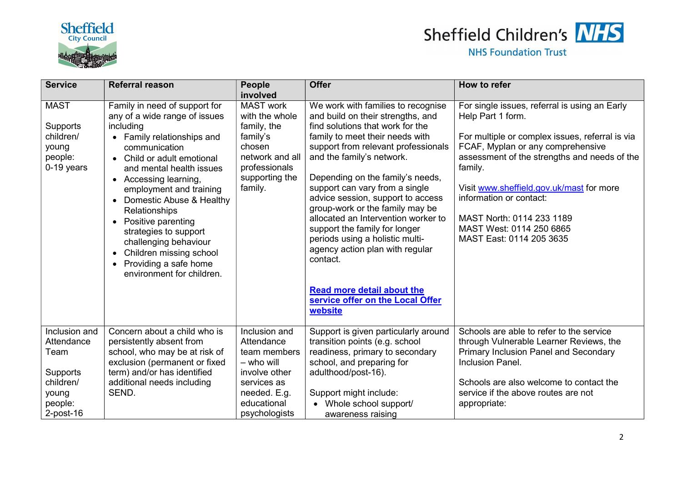



| <b>Service</b>                                                         | <b>Referral reason</b>                                                                                                                                                                                                                                                                                                                                                                                                                                                       | People                                                                                                                                   | <b>Offer</b>                                                                                                                                                                                                                                                                                                                                                                                                                                                                                                               | How to refer                                                                                                                                                                                                                                                                                                                                                                      |
|------------------------------------------------------------------------|------------------------------------------------------------------------------------------------------------------------------------------------------------------------------------------------------------------------------------------------------------------------------------------------------------------------------------------------------------------------------------------------------------------------------------------------------------------------------|------------------------------------------------------------------------------------------------------------------------------------------|----------------------------------------------------------------------------------------------------------------------------------------------------------------------------------------------------------------------------------------------------------------------------------------------------------------------------------------------------------------------------------------------------------------------------------------------------------------------------------------------------------------------------|-----------------------------------------------------------------------------------------------------------------------------------------------------------------------------------------------------------------------------------------------------------------------------------------------------------------------------------------------------------------------------------|
|                                                                        |                                                                                                                                                                                                                                                                                                                                                                                                                                                                              | involved                                                                                                                                 |                                                                                                                                                                                                                                                                                                                                                                                                                                                                                                                            |                                                                                                                                                                                                                                                                                                                                                                                   |
| <b>MAST</b><br>Supports<br>children/<br>young<br>people:<br>0-19 years | Family in need of support for<br>any of a wide range of issues<br>including<br>• Family relationships and<br>communication<br>Child or adult emotional<br>$\bullet$<br>and mental health issues<br>• Accessing learning,<br>employment and training<br>• Domestic Abuse & Healthy<br>Relationships<br>• Positive parenting<br>strategies to support<br>challenging behaviour<br>Children missing school<br>$\bullet$<br>• Providing a safe home<br>environment for children. | <b>MAST</b> work<br>with the whole<br>family, the<br>family's<br>chosen<br>network and all<br>professionals<br>supporting the<br>family. | We work with families to recognise<br>and build on their strengths, and<br>find solutions that work for the<br>family to meet their needs with<br>support from relevant professionals<br>and the family's network.<br>Depending on the family's needs,<br>support can vary from a single<br>advice session, support to access<br>group-work or the family may be<br>allocated an Intervention worker to<br>support the family for longer<br>periods using a holistic multi-<br>agency action plan with regular<br>contact. | For single issues, referral is using an Early<br>Help Part 1 form.<br>For multiple or complex issues, referral is via<br>FCAF, Myplan or any comprehensive<br>assessment of the strengths and needs of the<br>family.<br>Visit www.sheffield.gov.uk/mast for more<br>information or contact:<br>MAST North: 0114 233 1189<br>MAST West: 0114 250 6865<br>MAST East: 0114 205 3635 |
|                                                                        |                                                                                                                                                                                                                                                                                                                                                                                                                                                                              |                                                                                                                                          | <b>Read more detail about the</b><br>service offer on the Local Offer<br>website                                                                                                                                                                                                                                                                                                                                                                                                                                           |                                                                                                                                                                                                                                                                                                                                                                                   |
| Inclusion and<br>Attendance<br>Team                                    | Concern about a child who is<br>persistently absent from<br>school, who may be at risk of<br>exclusion (permanent or fixed                                                                                                                                                                                                                                                                                                                                                   | Inclusion and<br>Attendance<br>team members<br>- who will                                                                                | Support is given particularly around<br>transition points (e.g. school<br>readiness, primary to secondary<br>school, and preparing for                                                                                                                                                                                                                                                                                                                                                                                     | Schools are able to refer to the service<br>through Vulnerable Learner Reviews, the<br><b>Primary Inclusion Panel and Secondary</b><br>Inclusion Panel.                                                                                                                                                                                                                           |
| Supports                                                               | term) and/or has identified                                                                                                                                                                                                                                                                                                                                                                                                                                                  | involve other                                                                                                                            | adulthood/post-16).                                                                                                                                                                                                                                                                                                                                                                                                                                                                                                        |                                                                                                                                                                                                                                                                                                                                                                                   |
| children/                                                              | additional needs including<br>SEND.                                                                                                                                                                                                                                                                                                                                                                                                                                          | services as<br>needed. E.g.                                                                                                              | Support might include:                                                                                                                                                                                                                                                                                                                                                                                                                                                                                                     | Schools are also welcome to contact the<br>service if the above routes are not                                                                                                                                                                                                                                                                                                    |
| young<br>people:                                                       |                                                                                                                                                                                                                                                                                                                                                                                                                                                                              | educational                                                                                                                              | • Whole school support/                                                                                                                                                                                                                                                                                                                                                                                                                                                                                                    | appropriate:                                                                                                                                                                                                                                                                                                                                                                      |
| $2$ -post-16                                                           |                                                                                                                                                                                                                                                                                                                                                                                                                                                                              | psychologists                                                                                                                            | awareness raising                                                                                                                                                                                                                                                                                                                                                                                                                                                                                                          |                                                                                                                                                                                                                                                                                                                                                                                   |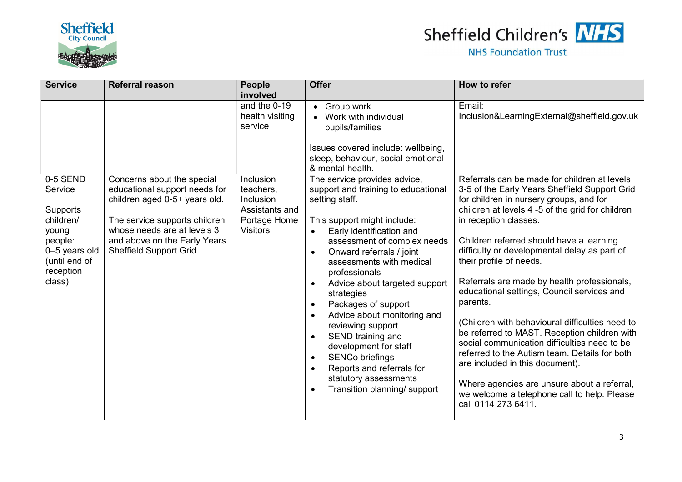



| <b>Service</b>                                                                                                | <b>Referral reason</b>                                                                                                                                                                    | <b>People</b>                                                                | <b>Offer</b>                                                                                                                                                                                                                                                                                                                                                                                                                                                                                                                                                                                                | How to refer                                                                                                                                                                                                                                                                                                                                                                                                                                                                                                                                                                                                                                                                                                                                                      |
|---------------------------------------------------------------------------------------------------------------|-------------------------------------------------------------------------------------------------------------------------------------------------------------------------------------------|------------------------------------------------------------------------------|-------------------------------------------------------------------------------------------------------------------------------------------------------------------------------------------------------------------------------------------------------------------------------------------------------------------------------------------------------------------------------------------------------------------------------------------------------------------------------------------------------------------------------------------------------------------------------------------------------------|-------------------------------------------------------------------------------------------------------------------------------------------------------------------------------------------------------------------------------------------------------------------------------------------------------------------------------------------------------------------------------------------------------------------------------------------------------------------------------------------------------------------------------------------------------------------------------------------------------------------------------------------------------------------------------------------------------------------------------------------------------------------|
| 0-5 SEND                                                                                                      | Concerns about the special                                                                                                                                                                | involved<br>and the $0-19$<br>health visiting<br>service<br><b>Inclusion</b> | • Group work<br>Work with individual<br>pupils/families<br>Issues covered include: wellbeing,<br>sleep, behaviour, social emotional<br>& mental health.<br>The service provides advice,                                                                                                                                                                                                                                                                                                                                                                                                                     | Email:<br>Inclusion&LearningExternal@sheffield.gov.uk<br>Referrals can be made for children at levels                                                                                                                                                                                                                                                                                                                                                                                                                                                                                                                                                                                                                                                             |
| Service<br>Supports<br>children/<br>young<br>people:<br>0-5 years old<br>(until end of<br>reception<br>class) | educational support needs for<br>children aged 0-5+ years old.<br>The service supports children<br>whose needs are at levels 3<br>and above on the Early Years<br>Sheffield Support Grid. | teachers,<br>Inclusion<br>Assistants and<br>Portage Home<br><b>Visitors</b>  | support and training to educational<br>setting staff.<br>This support might include:<br>Early identification and<br>$\bullet$<br>assessment of complex needs<br>Onward referrals / joint<br>$\bullet$<br>assessments with medical<br>professionals<br>Advice about targeted support<br>$\bullet$<br>strategies<br>Packages of support<br>$\bullet$<br>Advice about monitoring and<br>$\bullet$<br>reviewing support<br>SEND training and<br>$\bullet$<br>development for staff<br><b>SENCo briefings</b><br>$\bullet$<br>Reports and referrals for<br>statutory assessments<br>Transition planning/ support | 3-5 of the Early Years Sheffield Support Grid<br>for children in nursery groups, and for<br>children at levels 4 -5 of the grid for children<br>in reception classes.<br>Children referred should have a learning<br>difficulty or developmental delay as part of<br>their profile of needs.<br>Referrals are made by health professionals,<br>educational settings, Council services and<br>parents.<br>(Children with behavioural difficulties need to<br>be referred to MAST. Reception children with<br>social communication difficulties need to be<br>referred to the Autism team. Details for both<br>are included in this document).<br>Where agencies are unsure about a referral,<br>we welcome a telephone call to help. Please<br>call 0114 273 6411. |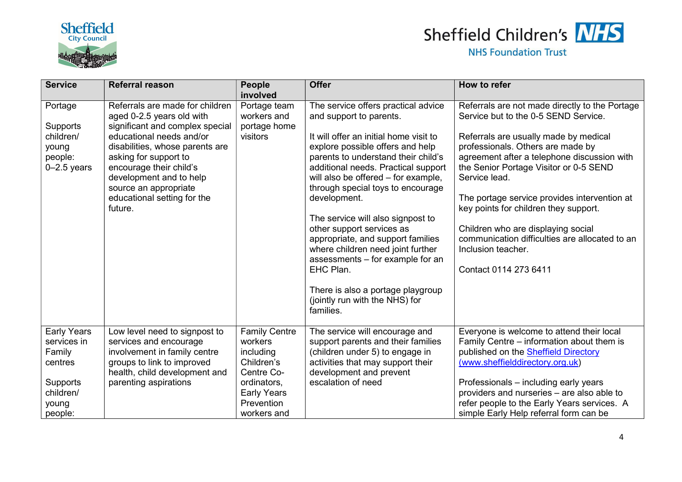

### Sheffield Children's MHS

| <b>Service</b>     | <b>Referral reason</b>          | People               | <b>Offer</b>                           | How to refer                                   |
|--------------------|---------------------------------|----------------------|----------------------------------------|------------------------------------------------|
|                    |                                 | involved             |                                        |                                                |
| Portage            | Referrals are made for children | Portage team         | The service offers practical advice    | Referrals are not made directly to the Portage |
|                    | aged 0-2.5 years old with       | workers and          | and support to parents.                | Service but to the 0-5 SEND Service.           |
| Supports           | significant and complex special | portage home         |                                        |                                                |
| children/          | educational needs and/or        | visitors             | It will offer an initial home visit to | Referrals are usually made by medical          |
| young              | disabilities, whose parents are |                      | explore possible offers and help       | professionals. Others are made by              |
| people:            | asking for support to           |                      | parents to understand their child's    | agreement after a telephone discussion with    |
| $0-2.5$ years      | encourage their child's         |                      | additional needs. Practical support    | the Senior Portage Visitor or 0-5 SEND         |
|                    | development and to help         |                      | will also be offered - for example,    | Service lead.                                  |
|                    | source an appropriate           |                      | through special toys to encourage      |                                                |
|                    | educational setting for the     |                      | development.                           | The portage service provides intervention at   |
|                    | future.                         |                      |                                        | key points for children they support.          |
|                    |                                 |                      | The service will also signpost to      |                                                |
|                    |                                 |                      | other support services as              | Children who are displaying social             |
|                    |                                 |                      | appropriate, and support families      | communication difficulties are allocated to an |
|                    |                                 |                      | where children need joint further      | Inclusion teacher.                             |
|                    |                                 |                      | assessments - for example for an       |                                                |
|                    |                                 |                      | EHC Plan.                              | Contact 0114 273 6411                          |
|                    |                                 |                      | There is also a portage playgroup      |                                                |
|                    |                                 |                      | (jointly run with the NHS) for         |                                                |
|                    |                                 |                      | families.                              |                                                |
|                    |                                 |                      |                                        |                                                |
| <b>Early Years</b> | Low level need to signpost to   | <b>Family Centre</b> | The service will encourage and         | Everyone is welcome to attend their local      |
| services in        | services and encourage          | workers              | support parents and their families     | Family Centre – information about them is      |
| Family             | involvement in family centre    | including            | (children under 5) to engage in        | published on the Sheffield Directory           |
| centres            | groups to link to improved      | Children's           | activities that may support their      | (www.sheffielddirectory.org.uk)                |
|                    | health, child development and   | Centre Co-           | development and prevent                |                                                |
| Supports           | parenting aspirations           | ordinators,          | escalation of need                     | Professionals – including early years          |
| children/          |                                 | <b>Early Years</b>   |                                        | providers and nurseries - are also able to     |
| young              |                                 | Prevention           |                                        | refer people to the Early Years services. A    |
| people:            |                                 | workers and          |                                        | simple Early Help referral form can be         |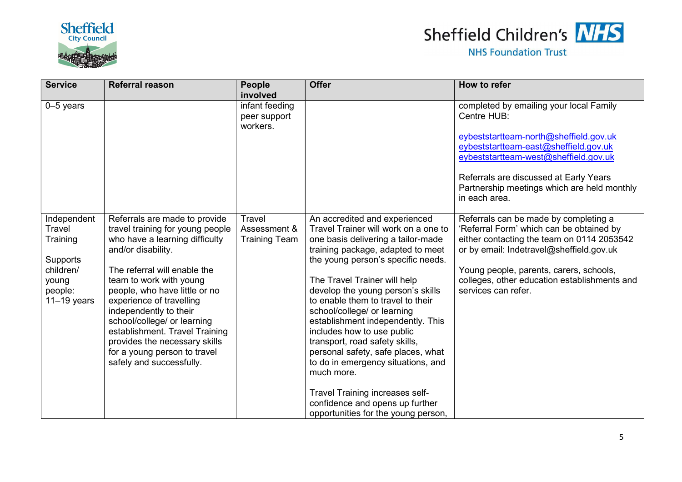



| <b>Service</b>                                                                                  | <b>Referral reason</b>                                                                                                                                                                                                                                                                                                                                                                                                                    | People<br>involved                             | <b>Offer</b>                                                                                                                                                                                                                                                                                                                                                                                                                                                                                                                                                                                                                                | How to refer                                                                                                                                                                                                                                                                                  |
|-------------------------------------------------------------------------------------------------|-------------------------------------------------------------------------------------------------------------------------------------------------------------------------------------------------------------------------------------------------------------------------------------------------------------------------------------------------------------------------------------------------------------------------------------------|------------------------------------------------|---------------------------------------------------------------------------------------------------------------------------------------------------------------------------------------------------------------------------------------------------------------------------------------------------------------------------------------------------------------------------------------------------------------------------------------------------------------------------------------------------------------------------------------------------------------------------------------------------------------------------------------------|-----------------------------------------------------------------------------------------------------------------------------------------------------------------------------------------------------------------------------------------------------------------------------------------------|
| $0-5$ years                                                                                     |                                                                                                                                                                                                                                                                                                                                                                                                                                           | infant feeding<br>peer support<br>workers.     |                                                                                                                                                                                                                                                                                                                                                                                                                                                                                                                                                                                                                                             | completed by emailing your local Family<br>Centre HUB:<br>eybeststartteam-north@sheffield.gov.uk<br>eybeststartteam-east@sheffield.gov.uk<br>eybeststartteam-west@sheffield.gov.uk<br>Referrals are discussed at Early Years<br>Partnership meetings which are held monthly<br>in each area.  |
| Independent<br>Travel<br>Training<br>Supports<br>children/<br>young<br>people:<br>$11-19$ years | Referrals are made to provide<br>travel training for young people<br>who have a learning difficulty<br>and/or disability.<br>The referral will enable the<br>team to work with young<br>people, who have little or no<br>experience of travelling<br>independently to their<br>school/college/ or learning<br>establishment. Travel Training<br>provides the necessary skills<br>for a young person to travel<br>safely and successfully. | Travel<br>Assessment &<br><b>Training Team</b> | An accredited and experienced<br>Travel Trainer will work on a one to<br>one basis delivering a tailor-made<br>training package, adapted to meet<br>the young person's specific needs.<br>The Travel Trainer will help<br>develop the young person's skills<br>to enable them to travel to their<br>school/college/ or learning<br>establishment independently. This<br>includes how to use public<br>transport, road safety skills,<br>personal safety, safe places, what<br>to do in emergency situations, and<br>much more.<br>Travel Training increases self-<br>confidence and opens up further<br>opportunities for the young person, | Referrals can be made by completing a<br>'Referral Form' which can be obtained by<br>either contacting the team on 0114 2053542<br>or by email: Indetravel@sheffield.gov.uk<br>Young people, parents, carers, schools,<br>colleges, other education establishments and<br>services can refer. |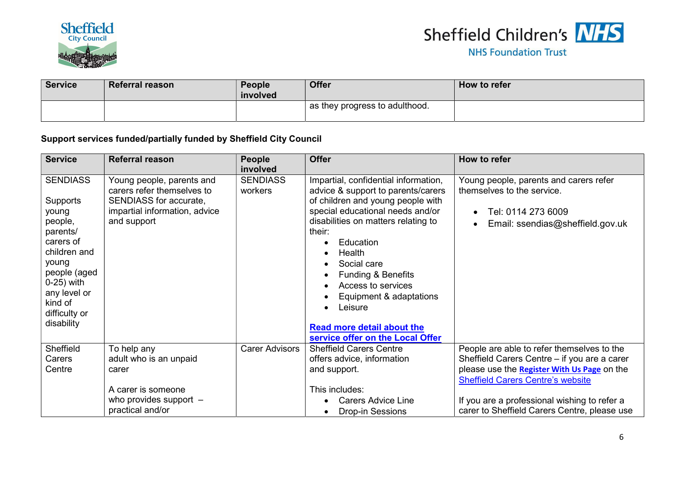



| <b>Service</b> | <b>Referral reason</b> | <b>People</b><br>involved | <b>Offer</b>                     | How to refer |
|----------------|------------------------|---------------------------|----------------------------------|--------------|
|                |                        |                           | I as they progress to adulthood. |              |

#### Support services funded/partially funded by Sheffield City Council

| <b>Service</b>                                                                                                                                                                                      | <b>Referral reason</b>                                                                                                            | People<br>involved         | <b>Offer</b>                                                                                                                                                                                                                                                                                                                                                                                                                                                                                   | How to refer                                                                                                                   |
|-----------------------------------------------------------------------------------------------------------------------------------------------------------------------------------------------------|-----------------------------------------------------------------------------------------------------------------------------------|----------------------------|------------------------------------------------------------------------------------------------------------------------------------------------------------------------------------------------------------------------------------------------------------------------------------------------------------------------------------------------------------------------------------------------------------------------------------------------------------------------------------------------|--------------------------------------------------------------------------------------------------------------------------------|
| <b>SENDIASS</b><br><b>Supports</b><br>young<br>people,<br>parents/<br>carers of<br>children and<br>young<br>people (aged<br>$0-25$ ) with<br>any level or<br>kind of<br>difficulty or<br>disability | Young people, parents and<br>carers refer themselves to<br>SENDIASS for accurate,<br>impartial information, advice<br>and support | <b>SENDIASS</b><br>workers | Impartial, confidential information,<br>advice & support to parents/carers<br>of children and young people with<br>special educational needs and/or<br>disabilities on matters relating to<br>their:<br>Education<br>$\bullet$<br>Health<br>$\bullet$<br>Social care<br>$\bullet$<br><b>Funding &amp; Benefits</b><br>$\bullet$<br>Access to services<br>$\bullet$<br>Equipment & adaptations<br>$\bullet$<br>Leisure<br><b>Read more detail about the</b><br>service offer on the Local Offer | Young people, parents and carers refer<br>themselves to the service.<br>Tel: 0114 273 6009<br>Email: ssendias@sheffield.gov.uk |
| Sheffield<br>Carers                                                                                                                                                                                 | To help any<br>adult who is an unpaid                                                                                             | <b>Carer Advisors</b>      | <b>Sheffield Carers Centre</b><br>offers advice, information                                                                                                                                                                                                                                                                                                                                                                                                                                   | People are able to refer themselves to the<br>Sheffield Carers Centre - if you are a carer                                     |
| Centre                                                                                                                                                                                              | carer                                                                                                                             |                            | and support.                                                                                                                                                                                                                                                                                                                                                                                                                                                                                   | please use the Register With Us Page on the<br><b>Sheffield Carers Centre's website</b>                                        |
|                                                                                                                                                                                                     | A carer is someone                                                                                                                |                            | This includes:                                                                                                                                                                                                                                                                                                                                                                                                                                                                                 |                                                                                                                                |
|                                                                                                                                                                                                     | who provides support $-$<br>practical and/or                                                                                      |                            | <b>Carers Advice Line</b><br><b>Drop-in Sessions</b>                                                                                                                                                                                                                                                                                                                                                                                                                                           | If you are a professional wishing to refer a<br>carer to Sheffield Carers Centre, please use                                   |
|                                                                                                                                                                                                     |                                                                                                                                   |                            |                                                                                                                                                                                                                                                                                                                                                                                                                                                                                                |                                                                                                                                |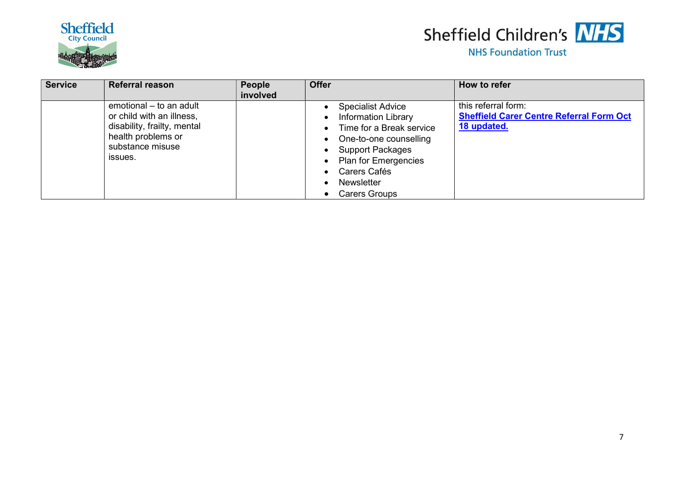



| <b>Service</b> | <b>Referral reason</b>                                                                                                                   | <b>People</b><br>involved | <b>Offer</b>                                                                                                                                                                                                                                                                                       | How to refer                                                                          |
|----------------|------------------------------------------------------------------------------------------------------------------------------------------|---------------------------|----------------------------------------------------------------------------------------------------------------------------------------------------------------------------------------------------------------------------------------------------------------------------------------------------|---------------------------------------------------------------------------------------|
|                | emotional - to an adult<br>or child with an illness,<br>disability, frailty, mental<br>health problems or<br>substance misuse<br>issues. |                           | • Specialist Advice<br><b>Information Library</b><br>$\bullet$<br>Time for a Break service<br>$\bullet$<br>One-to-one counselling<br>$\bullet$<br>• Support Packages<br>• Plan for Emergencies<br>Carers Cafés<br>$\bullet$<br><b>Newsletter</b><br>$\bullet$<br><b>Carers Groups</b><br>$\bullet$ | this referral form:<br><b>Sheffield Carer Centre Referral Form Oct</b><br>18 updated. |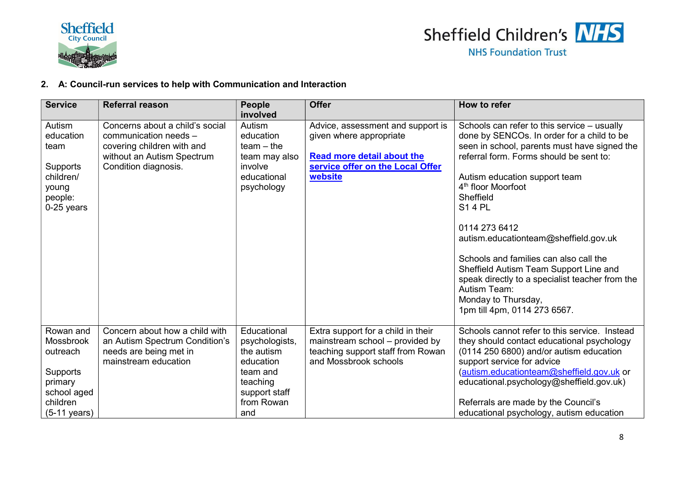



#### 2. A: Council-run services to help with Communication and Interaction

| <b>Service</b>               | <b>Referral reason</b>                                   | <b>People</b>                | <b>Offer</b>                                                         | How to refer                                                                          |
|------------------------------|----------------------------------------------------------|------------------------------|----------------------------------------------------------------------|---------------------------------------------------------------------------------------|
|                              |                                                          | involved                     |                                                                      |                                                                                       |
| Autism                       | Concerns about a child's social                          | Autism                       | Advice, assessment and support is                                    | Schools can refer to this service $-$ usually                                         |
| education                    | communication needs -                                    | education                    | given where appropriate                                              | done by SENCOs. In order for a child to be                                            |
| team                         | covering children with and                               | $team - the$                 |                                                                      | seen in school, parents must have signed the                                          |
|                              | without an Autism Spectrum                               | team may also                | <b>Read more detail about the</b>                                    | referral form. Forms should be sent to:                                               |
| Supports                     | Condition diagnosis.                                     | involve                      | service offer on the Local Offer                                     |                                                                                       |
| children/                    |                                                          | educational                  | website                                                              | Autism education support team                                                         |
| young                        |                                                          | psychology                   |                                                                      | 4 <sup>th</sup> floor Moorfoot                                                        |
| people:                      |                                                          |                              |                                                                      | Sheffield                                                                             |
| 0-25 years                   |                                                          |                              |                                                                      | <b>S14 PL</b>                                                                         |
|                              |                                                          |                              |                                                                      | 0114 273 6412                                                                         |
|                              |                                                          |                              |                                                                      | autism.educationteam@sheffield.gov.uk                                                 |
|                              |                                                          |                              |                                                                      |                                                                                       |
|                              |                                                          |                              |                                                                      | Schools and families can also call the                                                |
|                              |                                                          |                              |                                                                      | Sheffield Autism Team Support Line and                                                |
|                              |                                                          |                              |                                                                      | speak directly to a specialist teacher from the                                       |
|                              |                                                          |                              |                                                                      | Autism Team:                                                                          |
|                              |                                                          |                              |                                                                      | Monday to Thursday,                                                                   |
|                              |                                                          |                              |                                                                      | 1pm till 4pm, 0114 273 6567.                                                          |
|                              |                                                          |                              |                                                                      |                                                                                       |
| Rowan and                    | Concern about how a child with                           | Educational                  | Extra support for a child in their                                   | Schools cannot refer to this service. Instead                                         |
| <b>Mossbrook</b><br>outreach | an Autism Spectrum Condition's<br>needs are being met in | psychologists,<br>the autism | mainstream school - provided by<br>teaching support staff from Rowan | they should contact educational psychology<br>(0114 250 6800) and/or autism education |
|                              | mainstream education                                     | education                    | and Mossbrook schools                                                | support service for advice                                                            |
| Supports                     |                                                          | team and                     |                                                                      | (autism.educationteam@sheffield.gov.uk or                                             |
| primary                      |                                                          | teaching                     |                                                                      | educational.psychology@sheffield.gov.uk)                                              |
| school aged                  |                                                          | support staff                |                                                                      |                                                                                       |
| children                     |                                                          | from Rowan                   |                                                                      | Referrals are made by the Council's                                                   |
| $(5-11 \text{ years})$       |                                                          | and                          |                                                                      | educational psychology, autism education                                              |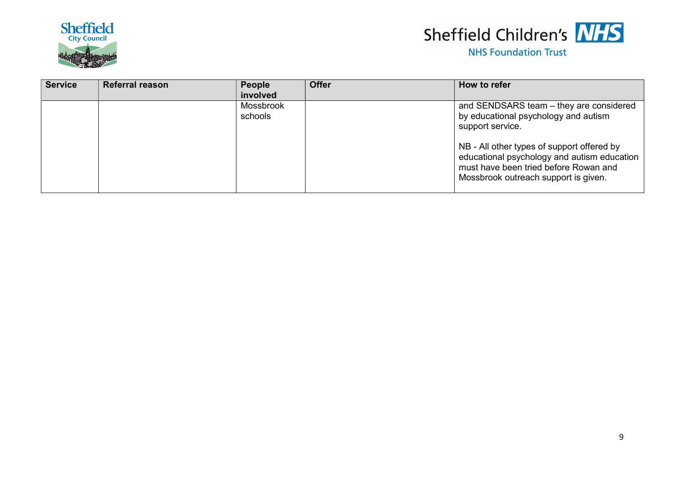



| <b>Service</b> | <b>Referral reason</b> | People<br>involved          | <b>Offer</b> | How to refer                                                                                                                                                                                                                                                                      |
|----------------|------------------------|-----------------------------|--------------|-----------------------------------------------------------------------------------------------------------------------------------------------------------------------------------------------------------------------------------------------------------------------------------|
|                |                        | <b>Mossbrook</b><br>schools |              | and SENDSARS team - they are considered<br>by educational psychology and autism<br>support service.<br>NB - All other types of support offered by<br>educational psychology and autism education<br>must have been tried before Rowan and<br>Mossbrook outreach support is given. |
|                |                        |                             |              |                                                                                                                                                                                                                                                                                   |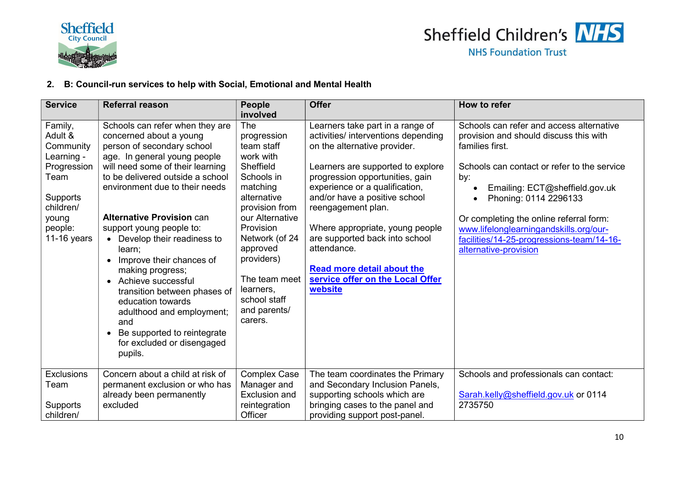

#### 2. B: Council-run services to help with Social, Emotional and Mental Health

| <b>Service</b>                                                                                                                   | <b>Referral reason</b>                                                                                                                                                                                                                                                                                                                                                                                                                                                                                                                                                              | <b>People</b><br>involved                                                                                                                                                                                                                                                  | <b>Offer</b>                                                                                                                                                                                                                                                                                                                                                                                                                                     | How to refer                                                                                                                                                                                                                                                                                                                                                                      |
|----------------------------------------------------------------------------------------------------------------------------------|-------------------------------------------------------------------------------------------------------------------------------------------------------------------------------------------------------------------------------------------------------------------------------------------------------------------------------------------------------------------------------------------------------------------------------------------------------------------------------------------------------------------------------------------------------------------------------------|----------------------------------------------------------------------------------------------------------------------------------------------------------------------------------------------------------------------------------------------------------------------------|--------------------------------------------------------------------------------------------------------------------------------------------------------------------------------------------------------------------------------------------------------------------------------------------------------------------------------------------------------------------------------------------------------------------------------------------------|-----------------------------------------------------------------------------------------------------------------------------------------------------------------------------------------------------------------------------------------------------------------------------------------------------------------------------------------------------------------------------------|
| Family,<br>Adult &<br>Community<br>Learning -<br>Progression<br>Team<br>Supports<br>children/<br>young<br>people:<br>11-16 years | Schools can refer when they are<br>concerned about a young<br>person of secondary school<br>age. In general young people<br>will need some of their learning<br>to be delivered outside a school<br>environment due to their needs<br><b>Alternative Provision can</b><br>support young people to:<br>• Develop their readiness to<br>learn;<br>Improve their chances of<br>making progress;<br>Achieve successful<br>transition between phases of<br>education towards<br>adulthood and employment;<br>and<br>Be supported to reintegrate<br>for excluded or disengaged<br>pupils. | The<br>progression<br>team staff<br>work with<br>Sheffield<br>Schools in<br>matching<br>alternative<br>provision from<br>our Alternative<br>Provision<br>Network (of 24<br>approved<br>providers)<br>The team meet<br>learners,<br>school staff<br>and parents/<br>carers. | Learners take part in a range of<br>activities/ interventions depending<br>on the alternative provider.<br>Learners are supported to explore<br>progression opportunities, gain<br>experience or a qualification,<br>and/or have a positive school<br>reengagement plan.<br>Where appropriate, young people<br>are supported back into school<br>attendance.<br><b>Read more detail about the</b><br>service offer on the Local Offer<br>website | Schools can refer and access alternative<br>provision and should discuss this with<br>families first.<br>Schools can contact or refer to the service<br>by:<br>Emailing: ECT@sheffield.gov.uk<br>Phoning: 0114 2296133<br>Or completing the online referral form:<br>www.lifelonglearningandskills.org/our-<br>facilities/14-25-progressions-team/14-16-<br>alternative-provision |
| <b>Exclusions</b><br>Team<br>Supports<br>children/                                                                               | Concern about a child at risk of<br>permanent exclusion or who has<br>already been permanently<br>excluded                                                                                                                                                                                                                                                                                                                                                                                                                                                                          | <b>Complex Case</b><br>Manager and<br><b>Exclusion and</b><br>reintegration<br>Officer                                                                                                                                                                                     | The team coordinates the Primary<br>and Secondary Inclusion Panels,<br>supporting schools which are<br>bringing cases to the panel and<br>providing support post-panel.                                                                                                                                                                                                                                                                          | Schools and professionals can contact:<br>Sarah.kelly@sheffield.gov.uk or 0114<br>2735750                                                                                                                                                                                                                                                                                         |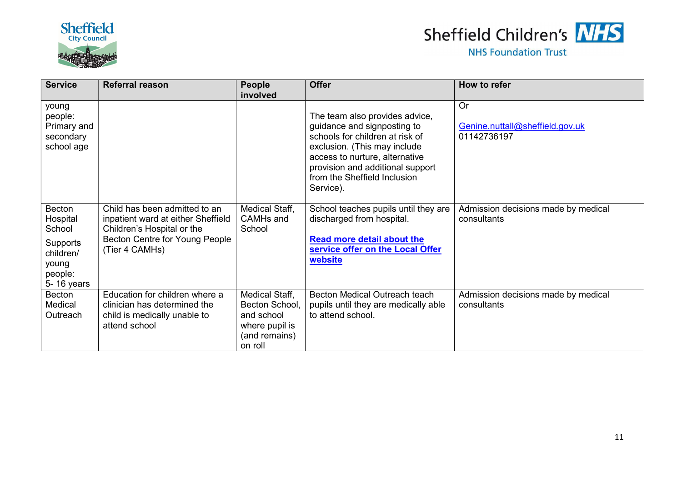



| <b>Service</b>                                                                                 | <b>Referral reason</b>                                                                                                                                | People<br>involved                                                                           | <b>Offer</b>                                                                                                                                                                                                                                        | How to refer                                                |
|------------------------------------------------------------------------------------------------|-------------------------------------------------------------------------------------------------------------------------------------------------------|----------------------------------------------------------------------------------------------|-----------------------------------------------------------------------------------------------------------------------------------------------------------------------------------------------------------------------------------------------------|-------------------------------------------------------------|
| young<br>people:<br>Primary and<br>secondary<br>school age                                     |                                                                                                                                                       |                                                                                              | The team also provides advice,<br>guidance and signposting to<br>schools for children at risk of<br>exclusion. (This may include<br>access to nurture, alternative<br>provision and additional support<br>from the Sheffield Inclusion<br>Service). | <b>Or</b><br>Genine.nuttall@sheffield.gov.uk<br>01142736197 |
| Becton<br>Hospital<br>School<br><b>Supports</b><br>children/<br>young<br>people:<br>5-16 years | Child has been admitted to an<br>inpatient ward at either Sheffield<br>Children's Hospital or the<br>Becton Centre for Young People<br>(Tier 4 CAMHs) | Medical Staff,<br>CAMH <sub>s</sub> and<br>School                                            | School teaches pupils until they are<br>discharged from hospital.<br><b>Read more detail about the</b><br>service offer on the Local Offer<br>website                                                                                               | Admission decisions made by medical<br>consultants          |
| Becton<br>Medical<br>Outreach                                                                  | Education for children where a<br>clinician has determined the<br>child is medically unable to<br>attend school                                       | Medical Staff,<br>Becton School,<br>and school<br>where pupil is<br>(and remains)<br>on roll | Becton Medical Outreach teach<br>pupils until they are medically able<br>to attend school.                                                                                                                                                          | Admission decisions made by medical<br>consultants          |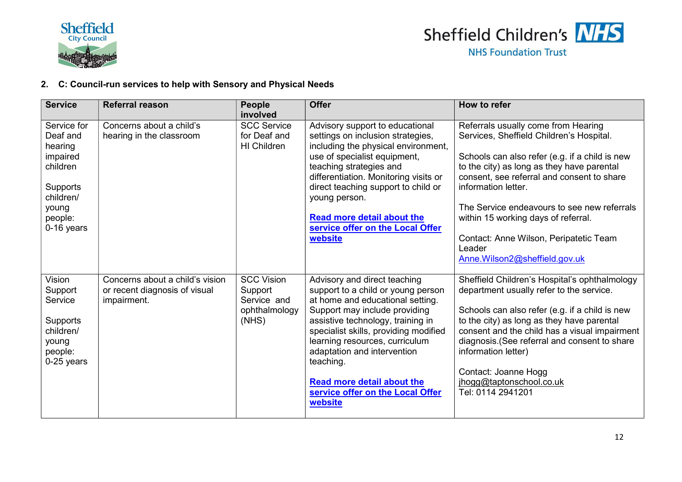

#### 2. C: Council-run services to help with Sensory and Physical Needs

| <b>Service</b>                                                                                                        | <b>Referral reason</b>                                                          | <b>People</b><br>involved                                             | <b>Offer</b>                                                                                                                                                                                                                                                                                                                                                                            | How to refer                                                                                                                                                                                                                                                                                                                                                                                                                    |
|-----------------------------------------------------------------------------------------------------------------------|---------------------------------------------------------------------------------|-----------------------------------------------------------------------|-----------------------------------------------------------------------------------------------------------------------------------------------------------------------------------------------------------------------------------------------------------------------------------------------------------------------------------------------------------------------------------------|---------------------------------------------------------------------------------------------------------------------------------------------------------------------------------------------------------------------------------------------------------------------------------------------------------------------------------------------------------------------------------------------------------------------------------|
| Service for<br>Deaf and<br>hearing<br>impaired<br>children<br>Supports<br>children/<br>young<br>people:<br>0-16 years | Concerns about a child's<br>hearing in the classroom                            | <b>SCC Service</b><br>for Deaf and<br>HI Children                     | Advisory support to educational<br>settings on inclusion strategies,<br>including the physical environment,<br>use of specialist equipment,<br>teaching strategies and<br>differentiation. Monitoring visits or<br>direct teaching support to child or<br>young person.<br><b>Read more detail about the</b><br>service offer on the Local Offer<br>website                             | Referrals usually come from Hearing<br>Services, Sheffield Children's Hospital.<br>Schools can also refer (e.g. if a child is new<br>to the city) as long as they have parental<br>consent, see referral and consent to share<br>information letter.<br>The Service endeavours to see new referrals<br>within 15 working days of referral.<br>Contact: Anne Wilson, Peripatetic Team<br>Leader<br>Anne.Wilson2@sheffield.gov.uk |
| Vision<br>Support<br>Service<br>Supports<br>children/<br>young<br>people:<br>0-25 years                               | Concerns about a child's vision<br>or recent diagnosis of visual<br>impairment. | <b>SCC Vision</b><br>Support<br>Service and<br>ophthalmology<br>(NHS) | Advisory and direct teaching<br>support to a child or young person<br>at home and educational setting.<br>Support may include providing<br>assistive technology, training in<br>specialist skills, providing modified<br>learning resources, curriculum<br>adaptation and intervention<br>teaching.<br><b>Read more detail about the</b><br>service offer on the Local Offer<br>website | Sheffield Children's Hospital's ophthalmology<br>department usually refer to the service.<br>Schools can also refer (e.g. if a child is new<br>to the city) as long as they have parental<br>consent and the child has a visual impairment<br>diagnosis. (See referral and consent to share<br>information letter)<br>Contact: Joanne Hogg<br>jhogg@taptonschool.co.uk<br>Tel: 0114 2941201                                     |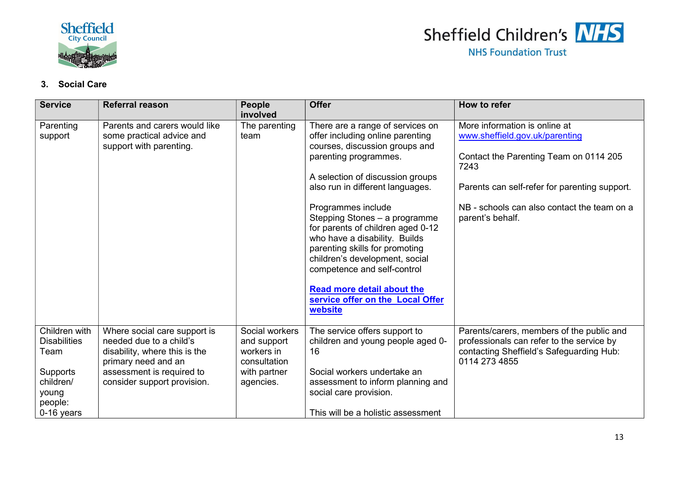



#### 3. Social Care

| <b>Service</b>                                                                                          | <b>Referral reason</b>                                                                                                                                                      | <b>People</b><br>involved                                                                | <b>Offer</b>                                                                                                                                                                                                                                                                                                                                                                                                                                                                                                                | How to refer                                                                                                                                                                                                                          |
|---------------------------------------------------------------------------------------------------------|-----------------------------------------------------------------------------------------------------------------------------------------------------------------------------|------------------------------------------------------------------------------------------|-----------------------------------------------------------------------------------------------------------------------------------------------------------------------------------------------------------------------------------------------------------------------------------------------------------------------------------------------------------------------------------------------------------------------------------------------------------------------------------------------------------------------------|---------------------------------------------------------------------------------------------------------------------------------------------------------------------------------------------------------------------------------------|
| Parenting<br>support                                                                                    | Parents and carers would like<br>some practical advice and<br>support with parenting.                                                                                       | The parenting<br>team                                                                    | There are a range of services on<br>offer including online parenting<br>courses, discussion groups and<br>parenting programmes.<br>A selection of discussion groups<br>also run in different languages.<br>Programmes include<br>Stepping Stones - a programme<br>for parents of children aged 0-12<br>who have a disability. Builds<br>parenting skills for promoting<br>children's development, social<br>competence and self-control<br><b>Read more detail about the</b><br>service offer on the Local Offer<br>website | More information is online at<br>www.sheffield.gov.uk/parenting<br>Contact the Parenting Team on 0114 205<br>7243<br>Parents can self-refer for parenting support.<br>NB - schools can also contact the team on a<br>parent's behalf. |
| Children with<br><b>Disabilities</b><br>Team<br>Supports<br>children/<br>young<br>people:<br>0-16 years | Where social care support is<br>needed due to a child's<br>disability, where this is the<br>primary need and an<br>assessment is required to<br>consider support provision. | Social workers<br>and support<br>workers in<br>consultation<br>with partner<br>agencies. | The service offers support to<br>children and young people aged 0-<br>16<br>Social workers undertake an<br>assessment to inform planning and<br>social care provision.<br>This will be a holistic assessment                                                                                                                                                                                                                                                                                                                | Parents/carers, members of the public and<br>professionals can refer to the service by<br>contacting Sheffield's Safeguarding Hub:<br>0114 273 4855                                                                                   |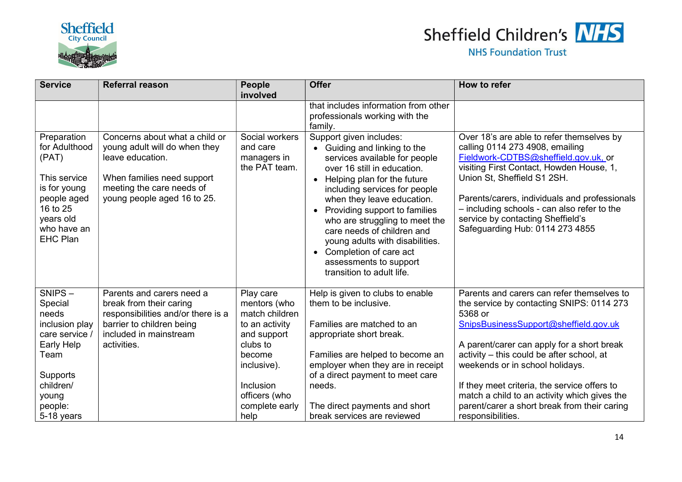

# Sheffield Children's NHS

| <b>Service</b>                                                                                                                                  | <b>Referral reason</b>                                                                                                                                                        | People<br>involved                                                 | <b>Offer</b>                                                                                                                                                                                                                                                                                                                                                                                                                                                                      | How to refer                                                                                                                                                                                                                                                                                                                                                            |
|-------------------------------------------------------------------------------------------------------------------------------------------------|-------------------------------------------------------------------------------------------------------------------------------------------------------------------------------|--------------------------------------------------------------------|-----------------------------------------------------------------------------------------------------------------------------------------------------------------------------------------------------------------------------------------------------------------------------------------------------------------------------------------------------------------------------------------------------------------------------------------------------------------------------------|-------------------------------------------------------------------------------------------------------------------------------------------------------------------------------------------------------------------------------------------------------------------------------------------------------------------------------------------------------------------------|
|                                                                                                                                                 |                                                                                                                                                                               |                                                                    | that includes information from other<br>professionals working with the<br>family.                                                                                                                                                                                                                                                                                                                                                                                                 |                                                                                                                                                                                                                                                                                                                                                                         |
| Preparation<br>for Adulthood<br>(PAT)<br>This service<br>is for young<br>people aged<br>16 to 25<br>years old<br>who have an<br><b>EHC Plan</b> | Concerns about what a child or<br>young adult will do when they<br>leave education.<br>When families need support<br>meeting the care needs of<br>young people aged 16 to 25. | Social workers<br>and care<br>managers in<br>the PAT team.         | Support given includes:<br>• Guiding and linking to the<br>services available for people<br>over 16 still in education.<br>Helping plan for the future<br>$\bullet$<br>including services for people<br>when they leave education.<br>Providing support to families<br>$\bullet$<br>who are struggling to meet the<br>care needs of children and<br>young adults with disabilities.<br>Completion of care act<br>$\bullet$<br>assessments to support<br>transition to adult life. | Over 18's are able to refer themselves by<br>calling 0114 273 4908, emailing<br>Fieldwork-CDTBS@sheffield.gov.uk, or<br>visiting First Contact, Howden House, 1,<br>Union St, Sheffield S1 2SH.<br>Parents/carers, individuals and professionals<br>- including schools - can also refer to the<br>service by contacting Sheffield's<br>Safeguarding Hub: 0114 273 4855 |
| SNIPS-<br>Special<br>needs                                                                                                                      | Parents and carers need a<br>break from their caring<br>responsibilities and/or there is a                                                                                    | Play care<br>mentors (who<br>match children                        | Help is given to clubs to enable<br>them to be inclusive.                                                                                                                                                                                                                                                                                                                                                                                                                         | Parents and carers can refer themselves to<br>the service by contacting SNIPS: 0114 273<br>5368 or                                                                                                                                                                                                                                                                      |
| inclusion play<br>care service /<br>Early Help<br>Team                                                                                          | barrier to children being<br>included in mainstream<br>activities.                                                                                                            | to an activity<br>and support<br>clubs to<br>become<br>inclusive). | Families are matched to an<br>appropriate short break.<br>Families are helped to become an<br>employer when they are in receipt                                                                                                                                                                                                                                                                                                                                                   | SnipsBusinessSupport@sheffield.gov.uk<br>A parent/carer can apply for a short break<br>activity - this could be after school, at<br>weekends or in school holidays.                                                                                                                                                                                                     |
| Supports<br>children/<br>young<br>people:<br>5-18 years                                                                                         |                                                                                                                                                                               | Inclusion<br>officers (who<br>complete early<br>help               | of a direct payment to meet care<br>needs.<br>The direct payments and short<br>break services are reviewed                                                                                                                                                                                                                                                                                                                                                                        | If they meet criteria, the service offers to<br>match a child to an activity which gives the<br>parent/carer a short break from their caring<br>responsibilities.                                                                                                                                                                                                       |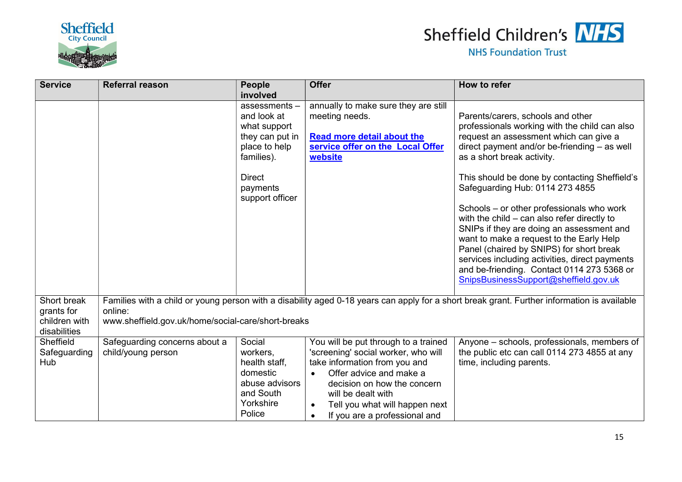



| <b>Service</b>                                             | <b>Referral reason</b>                                        | People<br>involved                                                                                                                               | <b>Offer</b>                                                                                                                                                                                                                                                                              | How to refer                                                                                                                                                                                                                                                                                                                                                                                                                                                                                                                                                                                                                                                                 |
|------------------------------------------------------------|---------------------------------------------------------------|--------------------------------------------------------------------------------------------------------------------------------------------------|-------------------------------------------------------------------------------------------------------------------------------------------------------------------------------------------------------------------------------------------------------------------------------------------|------------------------------------------------------------------------------------------------------------------------------------------------------------------------------------------------------------------------------------------------------------------------------------------------------------------------------------------------------------------------------------------------------------------------------------------------------------------------------------------------------------------------------------------------------------------------------------------------------------------------------------------------------------------------------|
|                                                            |                                                               | assessments $-$<br>and look at<br>what support<br>they can put in<br>place to help<br>families).<br><b>Direct</b><br>payments<br>support officer | annually to make sure they are still<br>meeting needs.<br><b>Read more detail about the</b><br>service offer on the Local Offer<br>website                                                                                                                                                | Parents/carers, schools and other<br>professionals working with the child can also<br>request an assessment which can give a<br>direct payment and/or be-friending $-$ as well<br>as a short break activity.<br>This should be done by contacting Sheffield's<br>Safeguarding Hub: 0114 273 4855<br>Schools – or other professionals who work<br>with the child $-$ can also refer directly to<br>SNIPs if they are doing an assessment and<br>want to make a request to the Early Help<br>Panel (chaired by SNIPS) for short break<br>services including activities, direct payments<br>and be-friending. Contact 0114 273 5368 or<br>SnipsBusinessSupport@sheffield.gov.uk |
| Short break<br>grants for<br>children with<br>disabilities | online:<br>www.sheffield.gov.uk/home/social-care/short-breaks |                                                                                                                                                  |                                                                                                                                                                                                                                                                                           | Families with a child or young person with a disability aged 0-18 years can apply for a short break grant. Further information is available                                                                                                                                                                                                                                                                                                                                                                                                                                                                                                                                  |
| Sheffield<br>Safeguarding<br>Hub                           | Safeguarding concerns about a<br>child/young person           | Social<br>workers,<br>health staff,<br>domestic<br>abuse advisors<br>and South<br>Yorkshire<br>Police                                            | You will be put through to a trained<br>'screening' social worker, who will<br>take information from you and<br>Offer advice and make a<br>$\bullet$<br>decision on how the concern<br>will be dealt with<br>Tell you what will happen next<br>If you are a professional and<br>$\bullet$ | Anyone – schools, professionals, members of<br>the public etc can call 0114 273 4855 at any<br>time, including parents.                                                                                                                                                                                                                                                                                                                                                                                                                                                                                                                                                      |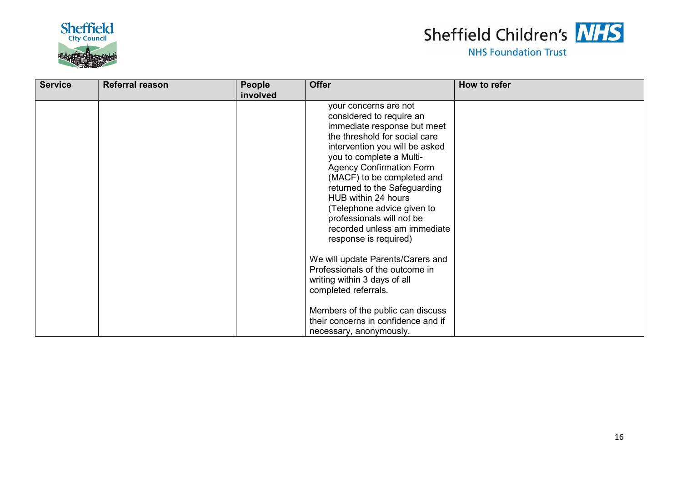



| <b>Service</b> | <b>Referral reason</b> | <b>People</b><br>involved | <b>Offer</b>                                                                                                                                                                                                                                                                                                                                                                                                                | How to refer |
|----------------|------------------------|---------------------------|-----------------------------------------------------------------------------------------------------------------------------------------------------------------------------------------------------------------------------------------------------------------------------------------------------------------------------------------------------------------------------------------------------------------------------|--------------|
|                |                        |                           | your concerns are not<br>considered to require an<br>immediate response but meet<br>the threshold for social care<br>intervention you will be asked<br>you to complete a Multi-<br><b>Agency Confirmation Form</b><br>(MACF) to be completed and<br>returned to the Safeguarding<br>HUB within 24 hours<br>(Telephone advice given to<br>professionals will not be<br>recorded unless am immediate<br>response is required) |              |
|                |                        |                           | We will update Parents/Carers and<br>Professionals of the outcome in<br>writing within 3 days of all<br>completed referrals.                                                                                                                                                                                                                                                                                                |              |
|                |                        |                           | Members of the public can discuss<br>their concerns in confidence and if<br>necessary, anonymously.                                                                                                                                                                                                                                                                                                                         |              |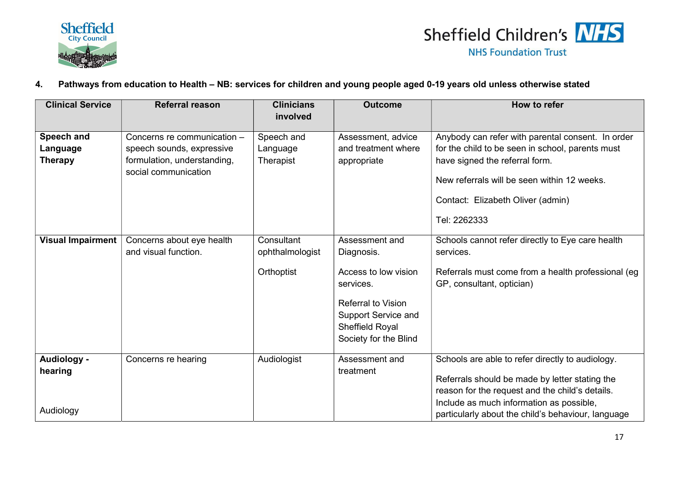



#### 4. Pathways from education to Health – NB: services for children and young people aged 0-19 years old unless otherwise stated

| <b>Clinical Service</b>  | <b>Referral reason</b>                                   | <b>Clinicians</b><br>involved | <b>Outcome</b>                                                                               | How to refer                                                                                                                                                                                      |
|--------------------------|----------------------------------------------------------|-------------------------------|----------------------------------------------------------------------------------------------|---------------------------------------------------------------------------------------------------------------------------------------------------------------------------------------------------|
| Speech and<br>Language   | Concerns re communication -<br>speech sounds, expressive | Speech and<br>Language        | Assessment, advice<br>and treatment where                                                    | Anybody can refer with parental consent. In order<br>for the child to be seen in school, parents must                                                                                             |
| <b>Therapy</b>           | formulation, understanding,<br>social communication      | Therapist                     | appropriate                                                                                  | have signed the referral form.<br>New referrals will be seen within 12 weeks.                                                                                                                     |
|                          |                                                          |                               |                                                                                              | Contact: Elizabeth Oliver (admin)                                                                                                                                                                 |
|                          |                                                          |                               |                                                                                              | Tel: 2262333                                                                                                                                                                                      |
| <b>Visual Impairment</b> | Concerns about eye health<br>and visual function.        | Consultant<br>ophthalmologist | Assessment and<br>Diagnosis.                                                                 | Schools cannot refer directly to Eye care health<br>services.                                                                                                                                     |
|                          |                                                          | Orthoptist                    | Access to low vision<br>services.                                                            | Referrals must come from a health professional (eg<br>GP, consultant, optician)                                                                                                                   |
|                          |                                                          |                               | <b>Referral to Vision</b><br>Support Service and<br>Sheffield Royal<br>Society for the Blind |                                                                                                                                                                                                   |
| Audiology -<br>hearing   | Concerns re hearing                                      | Audiologist                   | Assessment and<br>treatment                                                                  | Schools are able to refer directly to audiology.<br>Referrals should be made by letter stating the<br>reason for the request and the child's details.<br>Include as much information as possible, |
| Audiology                |                                                          |                               |                                                                                              | particularly about the child's behaviour, language                                                                                                                                                |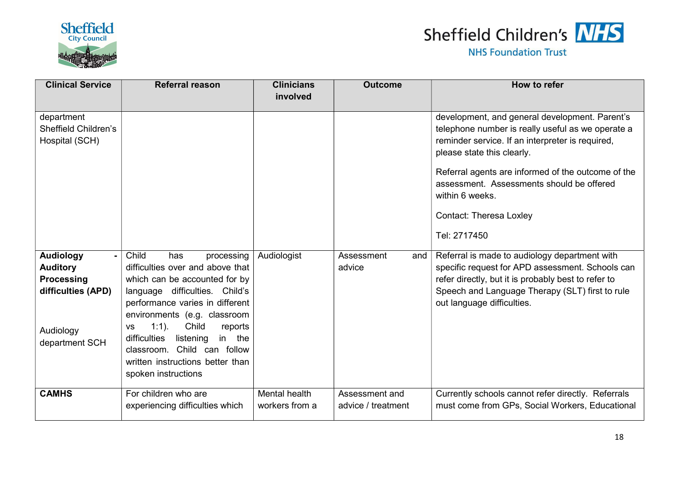



| <b>Clinical Service</b>                                                                                       | <b>Referral reason</b>                                                                                                                                                                                                                                                                                                                                                             | <b>Clinicians</b><br>involved   | <b>Outcome</b>                       | How to refer                                                                                                                                                                                                                                                                                                                                                  |
|---------------------------------------------------------------------------------------------------------------|------------------------------------------------------------------------------------------------------------------------------------------------------------------------------------------------------------------------------------------------------------------------------------------------------------------------------------------------------------------------------------|---------------------------------|--------------------------------------|---------------------------------------------------------------------------------------------------------------------------------------------------------------------------------------------------------------------------------------------------------------------------------------------------------------------------------------------------------------|
| department<br>Sheffield Children's<br>Hospital (SCH)                                                          |                                                                                                                                                                                                                                                                                                                                                                                    |                                 |                                      | development, and general development. Parent's<br>telephone number is really useful as we operate a<br>reminder service. If an interpreter is required,<br>please state this clearly.<br>Referral agents are informed of the outcome of the<br>assessment. Assessments should be offered<br>within 6 weeks.<br><b>Contact: Theresa Loxley</b><br>Tel: 2717450 |
| <b>Audiology</b><br><b>Auditory</b><br><b>Processing</b><br>difficulties (APD)<br>Audiology<br>department SCH | Child<br>has<br>processing<br>difficulties over and above that<br>which can be accounted for by<br>language difficulties. Child's<br>performance varies in different<br>environments (e.g. classroom<br>$1:1$ ).<br>Child<br>reports<br><b>VS</b><br>difficulties<br>listening<br>in the<br>classroom. Child can follow<br>written instructions better than<br>spoken instructions | Audiologist                     | Assessment<br>and<br>advice          | Referral is made to audiology department with<br>specific request for APD assessment. Schools can<br>refer directly, but it is probably best to refer to<br>Speech and Language Therapy (SLT) first to rule<br>out language difficulties.                                                                                                                     |
| <b>CAMHS</b>                                                                                                  | For children who are<br>experiencing difficulties which                                                                                                                                                                                                                                                                                                                            | Mental health<br>workers from a | Assessment and<br>advice / treatment | Currently schools cannot refer directly. Referrals<br>must come from GPs, Social Workers, Educational                                                                                                                                                                                                                                                         |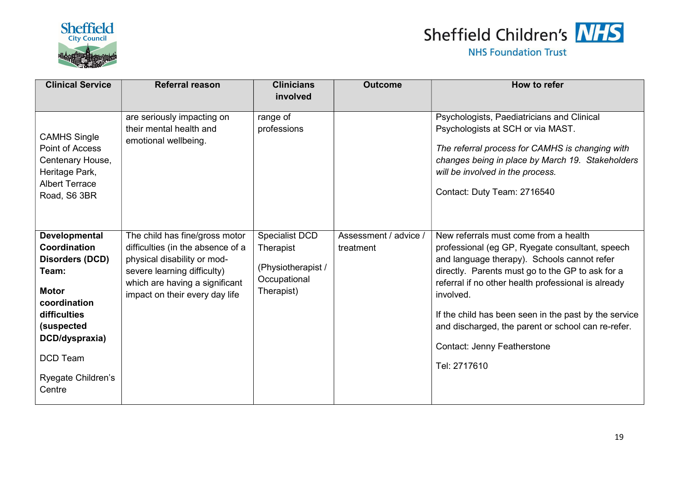



| <b>Clinical Service</b>                                                                                                                                                                      | <b>Referral reason</b>                                                                                                                                                                                | <b>Clinicians</b><br>involved                                                   | <b>Outcome</b>                     | How to refer                                                                                                                                                                                                                                                                                                                                                                                                                         |
|----------------------------------------------------------------------------------------------------------------------------------------------------------------------------------------------|-------------------------------------------------------------------------------------------------------------------------------------------------------------------------------------------------------|---------------------------------------------------------------------------------|------------------------------------|--------------------------------------------------------------------------------------------------------------------------------------------------------------------------------------------------------------------------------------------------------------------------------------------------------------------------------------------------------------------------------------------------------------------------------------|
| <b>CAMHS Single</b><br>Point of Access<br>Centenary House,<br>Heritage Park,<br><b>Albert Terrace</b><br>Road, S6 3BR                                                                        | are seriously impacting on<br>their mental health and<br>emotional wellbeing.                                                                                                                         | range of<br>professions                                                         |                                    | Psychologists, Paediatricians and Clinical<br>Psychologists at SCH or via MAST.<br>The referral process for CAMHS is changing with<br>changes being in place by March 19. Stakeholders<br>will be involved in the process.<br>Contact: Duty Team: 2716540                                                                                                                                                                            |
| Developmental<br>Coordination<br>Disorders (DCD)<br>Team:<br><b>Motor</b><br>coordination<br>difficulties<br>(suspected<br>DCD/dyspraxia)<br><b>DCD Team</b><br>Ryegate Children's<br>Centre | The child has fine/gross motor<br>difficulties (in the absence of a<br>physical disability or mod-<br>severe learning difficulty)<br>which are having a significant<br>impact on their every day life | Specialist DCD<br>Therapist<br>(Physiotherapist /<br>Occupational<br>Therapist) | Assessment / advice /<br>treatment | New referrals must come from a health<br>professional (eg GP, Ryegate consultant, speech<br>and language therapy). Schools cannot refer<br>directly. Parents must go to the GP to ask for a<br>referral if no other health professional is already<br>involved.<br>If the child has been seen in the past by the service<br>and discharged, the parent or school can re-refer.<br><b>Contact: Jenny Featherstone</b><br>Tel: 2717610 |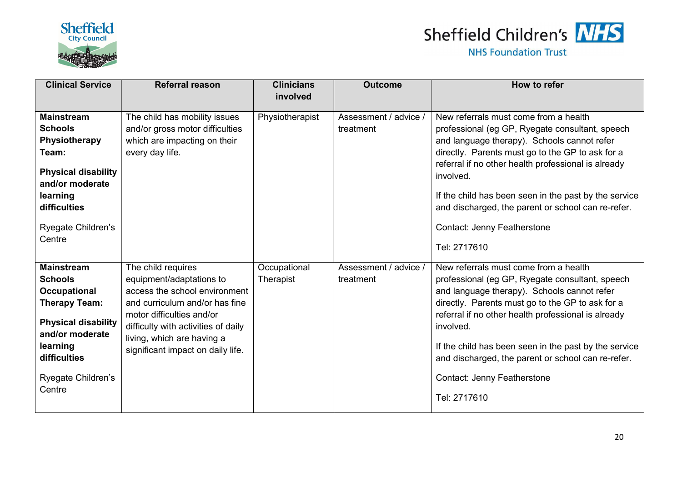



| <b>Clinical Service</b>                                                                                                                                                                         | <b>Referral reason</b>                                                                                                                                                                                                                                   | <b>Clinicians</b><br>involved | <b>Outcome</b>                     | How to refer                                                                                                                                                                                                                                                                                                                                                                                                                  |
|-------------------------------------------------------------------------------------------------------------------------------------------------------------------------------------------------|----------------------------------------------------------------------------------------------------------------------------------------------------------------------------------------------------------------------------------------------------------|-------------------------------|------------------------------------|-------------------------------------------------------------------------------------------------------------------------------------------------------------------------------------------------------------------------------------------------------------------------------------------------------------------------------------------------------------------------------------------------------------------------------|
|                                                                                                                                                                                                 |                                                                                                                                                                                                                                                          |                               |                                    |                                                                                                                                                                                                                                                                                                                                                                                                                               |
| <b>Mainstream</b><br><b>Schools</b><br>Physiotherapy<br>Team:<br><b>Physical disability</b><br>and/or moderate<br>learning<br>difficulties<br>Ryegate Children's<br>Centre                      | The child has mobility issues<br>and/or gross motor difficulties<br>which are impacting on their<br>every day life.                                                                                                                                      | Physiotherapist               | Assessment / advice /<br>treatment | New referrals must come from a health<br>professional (eg GP, Ryegate consultant, speech<br>and language therapy). Schools cannot refer<br>directly. Parents must go to the GP to ask for a<br>referral if no other health professional is already<br>involved.<br>If the child has been seen in the past by the service<br>and discharged, the parent or school can re-refer.<br><b>Contact: Jenny Featherstone</b>          |
|                                                                                                                                                                                                 |                                                                                                                                                                                                                                                          |                               |                                    | Tel: 2717610                                                                                                                                                                                                                                                                                                                                                                                                                  |
| <b>Mainstream</b><br><b>Schools</b><br><b>Occupational</b><br><b>Therapy Team:</b><br><b>Physical disability</b><br>and/or moderate<br>learning<br>difficulties<br>Ryegate Children's<br>Centre | The child requires<br>equipment/adaptations to<br>access the school environment<br>and curriculum and/or has fine<br>motor difficulties and/or<br>difficulty with activities of daily<br>living, which are having a<br>significant impact on daily life. | Occupational<br>Therapist     | Assessment / advice /<br>treatment | New referrals must come from a health<br>professional (eg GP, Ryegate consultant, speech<br>and language therapy). Schools cannot refer<br>directly. Parents must go to the GP to ask for a<br>referral if no other health professional is already<br>involved.<br>If the child has been seen in the past by the service<br>and discharged, the parent or school can re-refer.<br>Contact: Jenny Featherstone<br>Tel: 2717610 |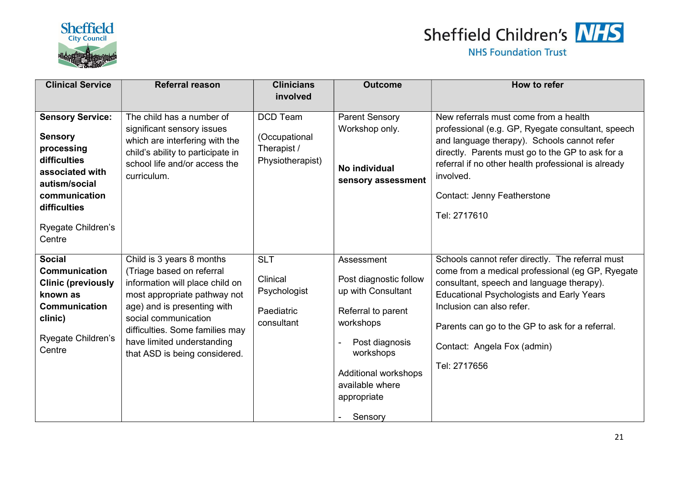



| <b>Clinical Service</b>                                                                                                                                                      | <b>Referral reason</b>                                                                                                                                                                                                                                                             | <b>Clinicians</b>                                                   | <b>Outcome</b>                                                                                                                                                                                    | How to refer                                                                                                                                                                                                                                                                                                                         |
|------------------------------------------------------------------------------------------------------------------------------------------------------------------------------|------------------------------------------------------------------------------------------------------------------------------------------------------------------------------------------------------------------------------------------------------------------------------------|---------------------------------------------------------------------|---------------------------------------------------------------------------------------------------------------------------------------------------------------------------------------------------|--------------------------------------------------------------------------------------------------------------------------------------------------------------------------------------------------------------------------------------------------------------------------------------------------------------------------------------|
|                                                                                                                                                                              |                                                                                                                                                                                                                                                                                    | involved                                                            |                                                                                                                                                                                                   |                                                                                                                                                                                                                                                                                                                                      |
| <b>Sensory Service:</b><br><b>Sensory</b><br>processing<br>difficulties<br>associated with<br>autism/social<br>communication<br>difficulties<br>Ryegate Children's<br>Centre | The child has a number of<br>significant sensory issues<br>which are interfering with the<br>child's ability to participate in<br>school life and/or access the<br>curriculum.                                                                                                     | <b>DCD Team</b><br>(Occupational<br>Therapist /<br>Physiotherapist) | <b>Parent Sensory</b><br>Workshop only.<br>No individual<br>sensory assessment                                                                                                                    | New referrals must come from a health<br>professional (e.g. GP, Ryegate consultant, speech<br>and language therapy). Schools cannot refer<br>directly. Parents must go to the GP to ask for a<br>referral if no other health professional is already<br>involved.<br><b>Contact: Jenny Featherstone</b><br>Tel: 2717610              |
| <b>Social</b><br>Communication<br><b>Clinic (previously</b><br>known as<br>Communication<br>clinic)<br>Ryegate Children's<br>Centre                                          | Child is 3 years 8 months<br>(Triage based on referral<br>information will place child on<br>most appropriate pathway not<br>age) and is presenting with<br>social communication<br>difficulties. Some families may<br>have limited understanding<br>that ASD is being considered. | <b>SLT</b><br>Clinical<br>Psychologist<br>Paediatric<br>consultant  | Assessment<br>Post diagnostic follow<br>up with Consultant<br>Referral to parent<br>workshops<br>Post diagnosis<br>workshops<br>Additional workshops<br>available where<br>appropriate<br>Sensory | Schools cannot refer directly. The referral must<br>come from a medical professional (eg GP, Ryegate<br>consultant, speech and language therapy).<br><b>Educational Psychologists and Early Years</b><br>Inclusion can also refer.<br>Parents can go to the GP to ask for a referral.<br>Contact: Angela Fox (admin)<br>Tel: 2717656 |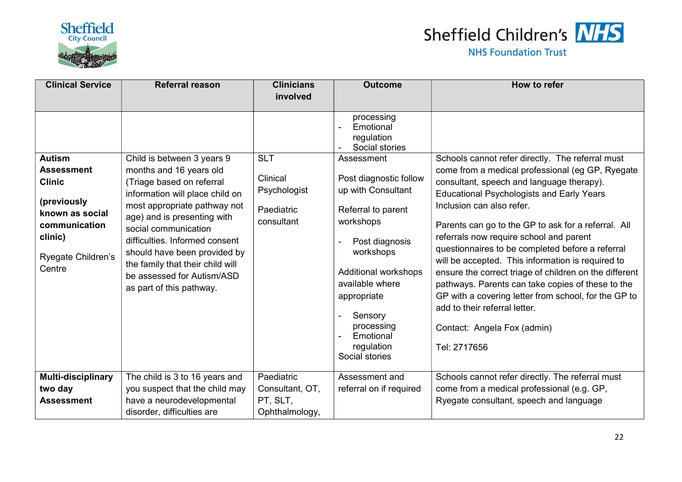

# Sheffield Children's NHS

| <b>Clinical Service</b>                                                                                                                           | <b>Referral reason</b>                                                                                                                                                                                                                                                                                                                                                       | <b>Clinicians</b>                                                  | <b>Outcome</b>                                                                                                                                                                                                                                                                                                          | How to refer                                                                                                                                                                                                                                                                                                                                                                                                                                                                                                                                                                                                                                                                                         |
|---------------------------------------------------------------------------------------------------------------------------------------------------|------------------------------------------------------------------------------------------------------------------------------------------------------------------------------------------------------------------------------------------------------------------------------------------------------------------------------------------------------------------------------|--------------------------------------------------------------------|-------------------------------------------------------------------------------------------------------------------------------------------------------------------------------------------------------------------------------------------------------------------------------------------------------------------------|------------------------------------------------------------------------------------------------------------------------------------------------------------------------------------------------------------------------------------------------------------------------------------------------------------------------------------------------------------------------------------------------------------------------------------------------------------------------------------------------------------------------------------------------------------------------------------------------------------------------------------------------------------------------------------------------------|
|                                                                                                                                                   |                                                                                                                                                                                                                                                                                                                                                                              | involved                                                           |                                                                                                                                                                                                                                                                                                                         |                                                                                                                                                                                                                                                                                                                                                                                                                                                                                                                                                                                                                                                                                                      |
| <b>Autism</b><br><b>Assessment</b><br><b>Clinic</b><br>(previously<br>known as social<br>communication<br>clinic)<br>Ryegate Children's<br>Centre | Child is between 3 years 9<br>months and 16 years old<br>(Triage based on referral<br>information will place child on<br>most appropriate pathway not<br>age) and is presenting with<br>social communication<br>difficulties. Informed consent<br>should have been provided by<br>the family that their child will<br>be assessed for Autism/ASD<br>as part of this pathway. | <b>SLT</b><br>Clinical<br>Psychologist<br>Paediatric<br>consultant | processing<br>Emotional<br>regulation<br>Social stories<br>Assessment<br>Post diagnostic follow<br>up with Consultant<br>Referral to parent<br>workshops<br>Post diagnosis<br>workshops<br>Additional workshops<br>available where<br>appropriate<br>Sensory<br>processing<br>Emotional<br>regulation<br>Social stories | Schools cannot refer directly. The referral must<br>come from a medical professional (eg GP, Ryegate<br>consultant, speech and language therapy).<br><b>Educational Psychologists and Early Years</b><br>Inclusion can also refer.<br>Parents can go to the GP to ask for a referral. All<br>referrals now require school and parent<br>questionnaires to be completed before a referral<br>will be accepted. This information is required to<br>ensure the correct triage of children on the different<br>pathways. Parents can take copies of these to the<br>GP with a covering letter from school, for the GP to<br>add to their referral letter.<br>Contact: Angela Fox (admin)<br>Tel: 2717656 |
| <b>Multi-disciplinary</b>                                                                                                                         | The child is 3 to 16 years and                                                                                                                                                                                                                                                                                                                                               | Paediatric                                                         | Assessment and                                                                                                                                                                                                                                                                                                          | Schools cannot refer directly. The referral must                                                                                                                                                                                                                                                                                                                                                                                                                                                                                                                                                                                                                                                     |
| two day                                                                                                                                           | you suspect that the child may                                                                                                                                                                                                                                                                                                                                               | Consultant, OT,                                                    | referral on if required                                                                                                                                                                                                                                                                                                 | come from a medical professional (e.g. GP,                                                                                                                                                                                                                                                                                                                                                                                                                                                                                                                                                                                                                                                           |
| <b>Assessment</b>                                                                                                                                 | have a neurodevelopmental<br>disorder, difficulties are                                                                                                                                                                                                                                                                                                                      | PT, SLT,<br>Ophthalmology,                                         |                                                                                                                                                                                                                                                                                                                         | Ryegate consultant, speech and language                                                                                                                                                                                                                                                                                                                                                                                                                                                                                                                                                                                                                                                              |